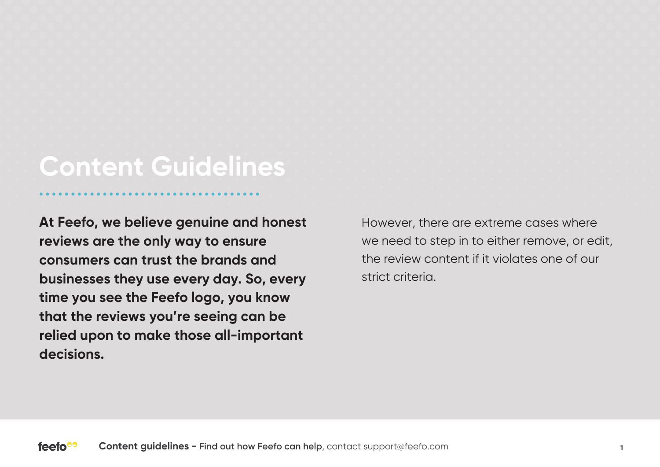## **Content Guidelines**

**At Feefo, we believe genuine and honest reviews are the only way to ensure consumers can trust the brands and businesses they use every day. So, every time you see the Feefo logo, you know that the reviews you're seeing can be relied upon to make those all-important decisions.** 

However, there are extreme cases where we need to step in to either remove, or edit, the review content if it violates one of our strict criteria.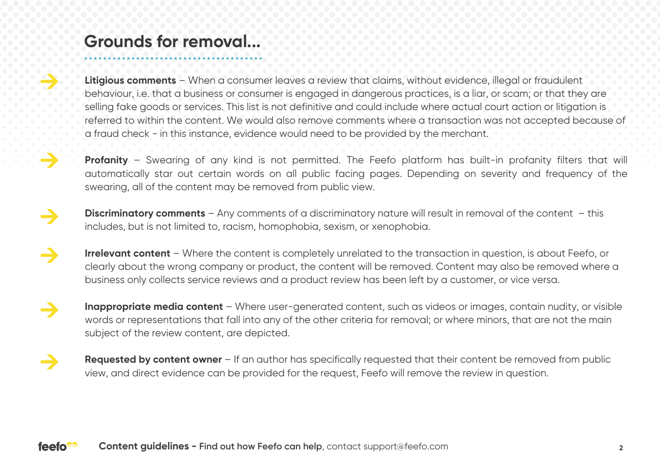## **Grounds for removal...**

**→**

**→**

**Litigious comments** – When a consumer leaves a review that claims, without evidence, illegal or fraudulent behaviour, i.e. that a business or consumer is engaged in dangerous practices, is a liar, or scam; or that they are selling fake goods or services. This list is not definitive and could include where actual court action or litigation is referred to within the content. We would also remove comments where a transaction was not accepted because of a fraud check - in this instance, evidence would need to be provided by the merchant.

**Profanity** – Swearing of any kind is not permitted. The Feefo platform has built-in profanity filters that will automatically star out certain words on all public facing pages. Depending on severity and frequency of the swearing, all of the content may be removed from public view.

- **Discriminatory comments**  Any comments of a discriminatory nature will result in removal of the content this includes, but is not limited to, racism, homophobia, sexism, or xenophobia. **→**
- **Irrelevant content** Where the content is completely unrelated to the transaction in question, is about Feefo, or clearly about the wrong company or product, the content will be removed. Content may also be removed where a business only collects service reviews and a product review has been left by a customer, or vice versa. **→**
- **Inappropriate media content** Where user-generated content, such as videos or images, contain nudity, or visible words or representations that fall into any of the other criteria for removal; or where minors, that are not the main subject of the review content, are depicted. **→**
- **Requested by content owner** If an author has specifically requested that their content be removed from public view, and direct evidence can be provided for the request, Feefo will remove the review in question. **→**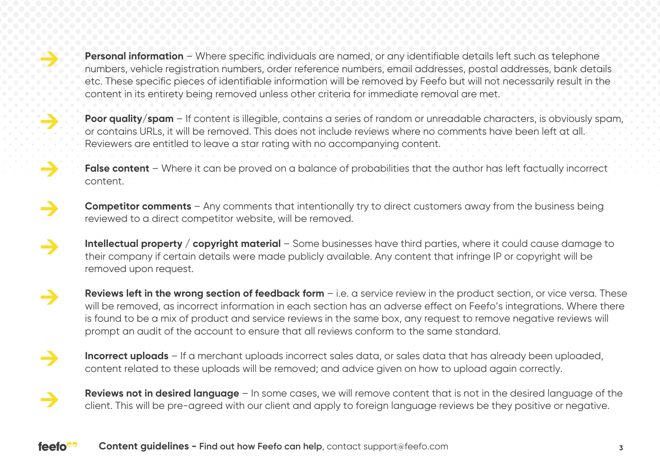

**→**

**→**

**Personal information** – Where specific individuals are named, or any identifiable details left such as telephone numbers, vehicle registration numbers, order reference numbers, email addresses, postal addresses, bank details etc. These specific pieces of identifiable information will be removed by Feefo but will not necessarily result in the content in its entirety being removed unless other criteria for immediate removal are met.

**Poor quality/spam** – If content is illegible, contains a series of random or unreadable characters, is obviously spam or contains URLs, it will be removed. This does not include reviews where no comments have been left at all. Reviewers are entitled to leave a star rating with no accompanying content.

**False content** – Where it can be proved on a balance of probabilities that the author has left factually incorrect content.

**Competitor comments** – Any comments that intentionally try to direct customers away from the business being reviewed to a direct competitor website, will be removed. **→**

**Intellectual property / copyright material** – Some businesses have third parties, where it could cause damage to their company if certain details were made publicly available. Any content that infringe IP or copyright will be removed upon request. **→**

**Reviews left in the wrong section of feedback form** – i.e. a service review in the product section, or vice versa. These will be removed, as incorrect information in each section has an adverse effect on Feefo's integrations. Where there is found to be a mix of product and service reviews in the same box, any request to remove negative reviews will prompt an audit of the account to ensure that all reviews conform to the same standard. **→**

**Incorrect uploads** – If a merchant uploads incorrect sales data, or sales data that has already been uploaded, content related to these uploads will be removed; and advice given on how to upload again correctly. **→**

Reviews not in desired language - In some cases, we will remove content that is not in the desired language of the client. This will be pre-agreed with our client and apply to foreign language reviews be they positive or n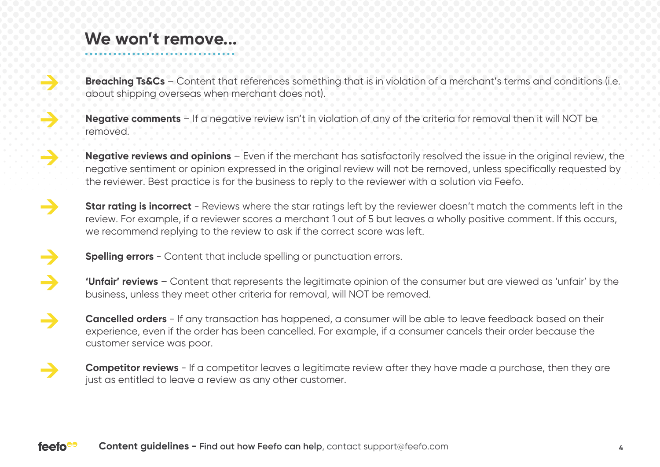## **We won't remove...**

**→**

**→**

**→**

**→**

**Breaching Ts&Cs** – Content that references something that is in violation of a merchant's terms and conditions (i.e. about shipping overseas when merchant does not).

**Negative comments** – If a negative review isn't in violation of any of the criteria for removal then it will NOT be removed.

**Negative reviews and opinions** – Even if the merchant has satisfactorily resolved the issue in the original review, the negative sentiment or opinion expressed in the original review will not be removed, unless specifically requested by the reviewer. Best practice is for the business to reply to the reviewer with a solution via Feefo.

**Star rating is incorrect** - Reviews where the star ratings left by the reviewer doesn't match the comments left in the review. For example, if a reviewer scores a merchant 1 out of 5 but leaves a wholly positive comment. If this occurs, we recommend replying to the review to ask if the correct score was left. **→**

- **Spelling errors** Content that include spelling or punctuation errors.
- **'Unfair' reviews**  Content that represents the legitimate opinion of the consumer but are viewed as 'unfair' by the business, unless they meet other criteria for removal, will NOT be removed. **→**
- **Cancelled orders**  If any transaction has happened, a consumer will be able to leave feedback based on their experience, even if the order has been cancelled. For example, if a consumer cancels their order because the customer service was poor. **→**
- **Competitor reviews** If a competitor leaves a legitimate review after they have made a purchase, then they are just as entitled to leave a review as any other customer.